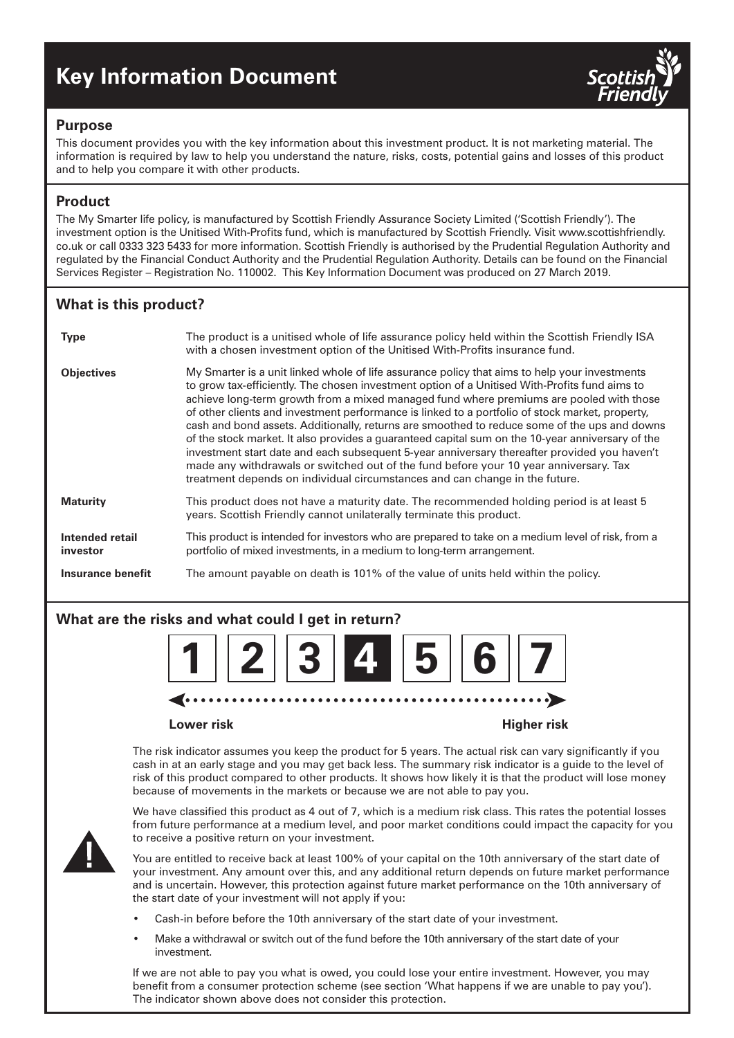# **Key Information Document**



#### **Purpose**

This document provides you with the key information about this investment product. It is not marketing material. The information is required by law to help you understand the nature, risks, costs, potential gains and losses of this product and to help you compare it with other products.

## **Product**

The My Smarter life policy, is manufactured by Scottish Friendly Assurance Society Limited ('Scottish Friendly'). The investment option is the Unitised With-Profits fund, which is manufactured by Scottish Friendly. Visit www.scottishfriendly. co.uk or call 0333 323 5433 for more information. Scottish Friendly is authorised by the Prudential Regulation Authority and regulated by the Financial Conduct Authority and the Prudential Regulation Authority. Details can be found on the Financial Services Register – Registration No. 110002. This Key Information Document was produced on 27 March 2019.

## **What is this product?**

| <b>Type</b>                 | The product is a unitised whole of life assurance policy held within the Scottish Friendly ISA<br>with a chosen investment option of the Unitised With-Profits insurance fund.                                                                                                                                                                                                                                                                                                                                                                                                                                                                                                                                                                                                                                                                                           |
|-----------------------------|--------------------------------------------------------------------------------------------------------------------------------------------------------------------------------------------------------------------------------------------------------------------------------------------------------------------------------------------------------------------------------------------------------------------------------------------------------------------------------------------------------------------------------------------------------------------------------------------------------------------------------------------------------------------------------------------------------------------------------------------------------------------------------------------------------------------------------------------------------------------------|
| <b>Objectives</b>           | My Smarter is a unit linked whole of life assurance policy that aims to help your investments<br>to grow tax-efficiently. The chosen investment option of a Unitised With-Profits fund aims to<br>achieve long-term growth from a mixed managed fund where premiums are pooled with those<br>of other clients and investment performance is linked to a portfolio of stock market, property,<br>cash and bond assets. Additionally, returns are smoothed to reduce some of the ups and downs<br>of the stock market. It also provides a guaranteed capital sum on the 10-year anniversary of the<br>investment start date and each subsequent 5-year anniversary thereafter provided you haven't<br>made any withdrawals or switched out of the fund before your 10 year anniversary. Tax<br>treatment depends on individual circumstances and can change in the future. |
| <b>Maturity</b>             | This product does not have a maturity date. The recommended holding period is at least 5<br>years. Scottish Friendly cannot unilaterally terminate this product.                                                                                                                                                                                                                                                                                                                                                                                                                                                                                                                                                                                                                                                                                                         |
| Intended retail<br>investor | This product is intended for investors who are prepared to take on a medium level of risk, from a<br>portfolio of mixed investments, in a medium to long-term arrangement.                                                                                                                                                                                                                                                                                                                                                                                                                                                                                                                                                                                                                                                                                               |
| Insurance benefit           | The amount payable on death is 101% of the value of units held within the policy.                                                                                                                                                                                                                                                                                                                                                                                                                                                                                                                                                                                                                                                                                                                                                                                        |

# **What are the risks and what could I get in return?**



#### **Lower risk Higher risk**

The risk indicator assumes you keep the product for 5 years. The actual risk can vary significantly if you cash in at an early stage and you may get back less. The summary risk indicator is a guide to the level of risk of this product compared to other products. It shows how likely it is that the product will lose money because of movements in the markets or because we are not able to pay you.



We have classified this product as 4 out of 7, which is a medium risk class. This rates the potential losses from future performance at a medium level, and poor market conditions could impact the capacity for you to receive a positive return on your investment.

You are entitled to receive back at least 100% of your capital on the 10th anniversary of the start date of your investment. Any amount over this, and any additional return depends on future market performance and is uncertain. However, this protection against future market performance on the 10th anniversary of the start date of your investment will not apply if you:

- Cash-in before before the 10th anniversary of the start date of your investment.
- Make a withdrawal or switch out of the fund before the 10th anniversary of the start date of your investment.

If we are not able to pay you what is owed, you could lose your entire investment. However, you may benefit from a consumer protection scheme (see section 'What happens if we are unable to pay you'). The indicator shown above does not consider this protection.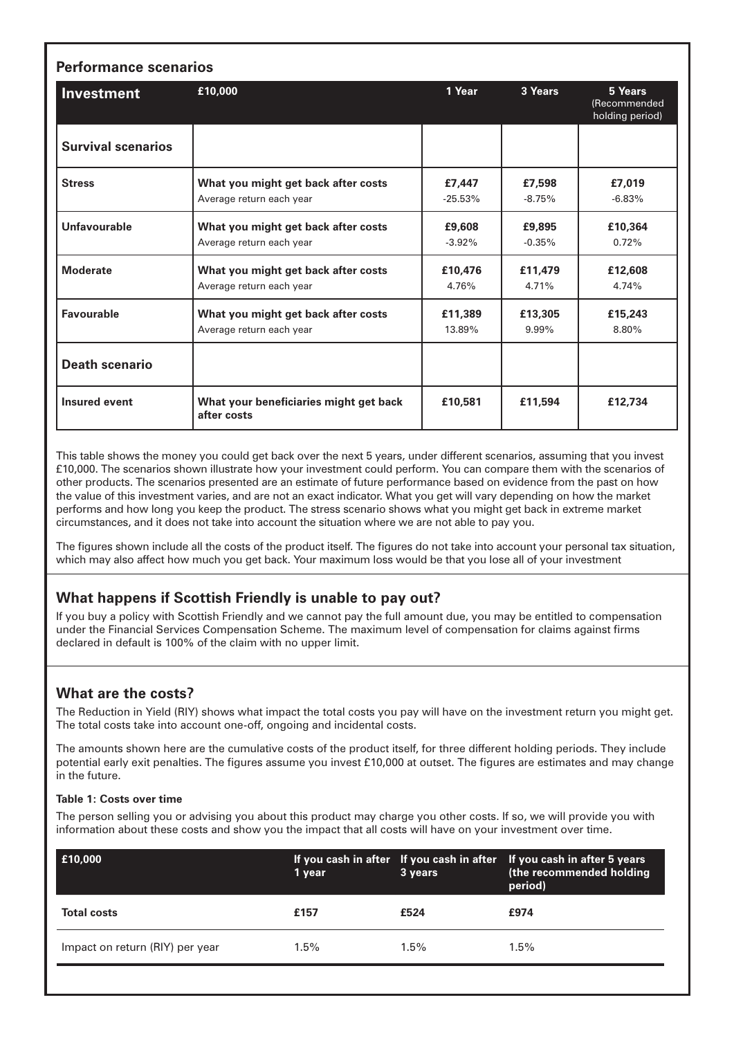| <b>Performance scenarios</b> |                                                                 |                     |                    |                                            |  |  |
|------------------------------|-----------------------------------------------------------------|---------------------|--------------------|--------------------------------------------|--|--|
| <b>Investment</b>            | £10,000                                                         | 1 Year              | 3 Years            | 5 Years<br>(Recommended<br>holding period) |  |  |
| <b>Survival scenarios</b>    |                                                                 |                     |                    |                                            |  |  |
| <b>Stress</b>                | What you might get back after costs<br>Average return each year | £7.447<br>$-25.53%$ | £7,598<br>$-8.75%$ | £7,019<br>$-6.83%$                         |  |  |
| Unfavourable                 | What you might get back after costs<br>Average return each year | £9,608<br>$-3.92%$  | £9,895<br>$-0.35%$ | £10,364<br>0.72%                           |  |  |
| <b>Moderate</b>              | What you might get back after costs<br>Average return each year | £10,476<br>4.76%    | £11,479<br>4.71%   | £12,608<br>4.74%                           |  |  |
| <b>Favourable</b>            | What you might get back after costs<br>Average return each year | £11,389<br>13.89%   | £13,305<br>9.99%   | £15,243<br>8.80%                           |  |  |
| <b>Death scenario</b>        |                                                                 |                     |                    |                                            |  |  |
| <b>Insured event</b>         | What your beneficiaries might get back<br>after costs           | £10,581             | £11,594            | £12,734                                    |  |  |

This table shows the money you could get back over the next 5 years, under different scenarios, assuming that you invest £10,000. The scenarios shown illustrate how your investment could perform. You can compare them with the scenarios of other products. The scenarios presented are an estimate of future performance based on evidence from the past on how the value of this investment varies, and are not an exact indicator. What you get will vary depending on how the market performs and how long you keep the product. The stress scenario shows what you might get back in extreme market circumstances, and it does not take into account the situation where we are not able to pay you.

The figures shown include all the costs of the product itself. The figures do not take into account your personal tax situation, which may also affect how much you get back. Your maximum loss would be that you lose all of your investment

## **What happens if Scottish Friendly is unable to pay out?**

If you buy a policy with Scottish Friendly and we cannot pay the full amount due, you may be entitled to compensation under the Financial Services Compensation Scheme. The maximum level of compensation for claims against firms declared in default is 100% of the claim with no upper limit.

## **What are the costs?**

The Reduction in Yield (RIY) shows what impact the total costs you pay will have on the investment return you might get. The total costs take into account one-off, ongoing and incidental costs.

The amounts shown here are the cumulative costs of the product itself, for three different holding periods. They include potential early exit penalties. The figures assume you invest £10,000 at outset. The figures are estimates and may change in the future.

#### **Table 1: Costs over time**

The person selling you or advising you about this product may charge you other costs. If so, we will provide you with information about these costs and show you the impact that all costs will have on your investment over time.

| E10,000                         | 1 year  | 3 years | If you cash in after If you cash in after If you cash in after 5 years<br>(the recommended holding<br>period) |
|---------------------------------|---------|---------|---------------------------------------------------------------------------------------------------------------|
| <b>Total costs</b>              | £157    | £524    | £974                                                                                                          |
| Impact on return (RIY) per year | $1.5\%$ | $1.5\%$ | $1.5\%$                                                                                                       |